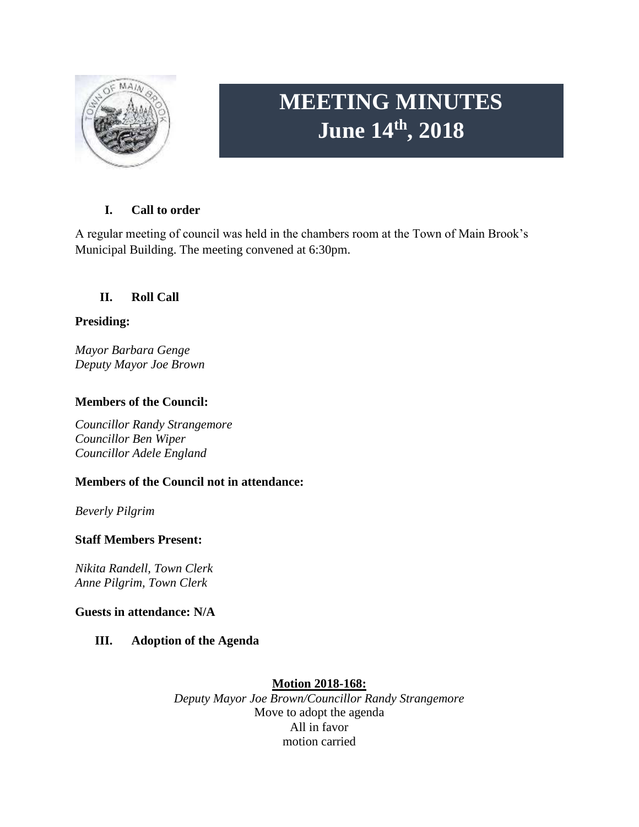

# **MEETING MINUTES June 14th, 2018**

# **I. Call to order**

A regular meeting of council was held in the chambers room at the Town of Main Brook's Municipal Building. The meeting convened at 6:30pm.

# **II. Roll Call**

# **Presiding:**

*Mayor Barbara Genge Deputy Mayor Joe Brown*

# **Members of the Council:**

*Councillor Randy Strangemore Councillor Ben Wiper Councillor Adele England*

# **Members of the Council not in attendance:**

*Beverly Pilgrim*

## **Staff Members Present:**

*Nikita Randell, Town Clerk Anne Pilgrim, Town Clerk*

## **Guests in attendance: N/A**

## **III. Adoption of the Agenda**

## **Motion 2018-168:**

*Deputy Mayor Joe Brown/Councillor Randy Strangemore* Move to adopt the agenda All in favor motion carried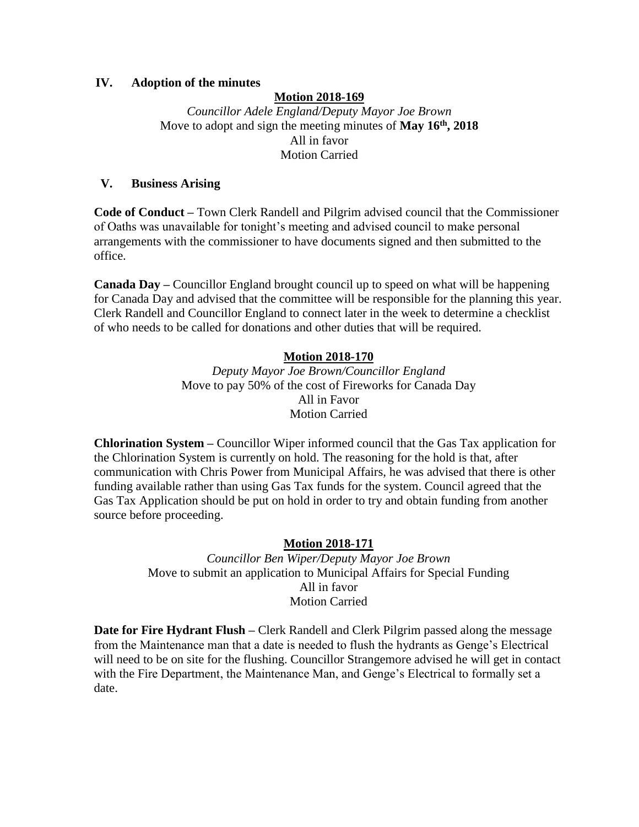#### **IV. Adoption of the minutes**

### **Motion 2018-169**

*Councillor Adele England/Deputy Mayor Joe Brown* Move to adopt and sign the meeting minutes of **May 16th, 2018** All in favor Motion Carried

#### **V. Business Arising**

**Code of Conduct –** Town Clerk Randell and Pilgrim advised council that the Commissioner of Oaths was unavailable for tonight's meeting and advised council to make personal arrangements with the commissioner to have documents signed and then submitted to the office.

**Canada Day –** Councillor England brought council up to speed on what will be happening for Canada Day and advised that the committee will be responsible for the planning this year. Clerk Randell and Councillor England to connect later in the week to determine a checklist of who needs to be called for donations and other duties that will be required.

#### **Motion 2018-170**

*Deputy Mayor Joe Brown/Councillor England* Move to pay 50% of the cost of Fireworks for Canada Day All in Favor Motion Carried

**Chlorination System –** Councillor Wiper informed council that the Gas Tax application for the Chlorination System is currently on hold. The reasoning for the hold is that, after communication with Chris Power from Municipal Affairs, he was advised that there is other funding available rather than using Gas Tax funds for the system. Council agreed that the Gas Tax Application should be put on hold in order to try and obtain funding from another source before proceeding.

#### **Motion 2018-171**

*Councillor Ben Wiper/Deputy Mayor Joe Brown* Move to submit an application to Municipal Affairs for Special Funding All in favor Motion Carried

**Date for Fire Hydrant Flush –** Clerk Randell and Clerk Pilgrim passed along the message from the Maintenance man that a date is needed to flush the hydrants as Genge's Electrical will need to be on site for the flushing. Councillor Strangemore advised he will get in contact with the Fire Department, the Maintenance Man, and Genge's Electrical to formally set a date.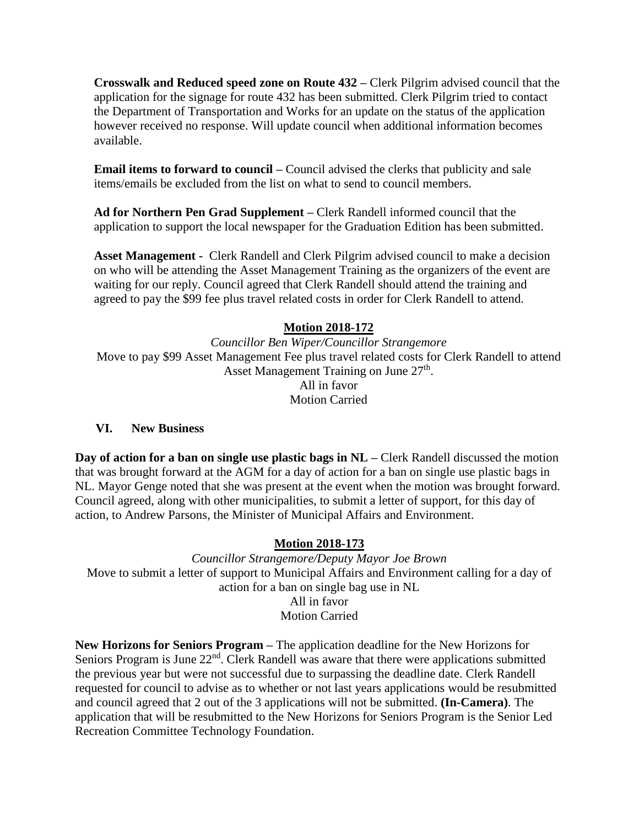**Crosswalk and Reduced speed zone on Route 432 –** Clerk Pilgrim advised council that the application for the signage for route 432 has been submitted. Clerk Pilgrim tried to contact the Department of Transportation and Works for an update on the status of the application however received no response. Will update council when additional information becomes available.

**Email items to forward to council –** Council advised the clerks that publicity and sale items/emails be excluded from the list on what to send to council members.

**Ad for Northern Pen Grad Supplement –** Clerk Randell informed council that the application to support the local newspaper for the Graduation Edition has been submitted.

**Asset Management -** Clerk Randell and Clerk Pilgrim advised council to make a decision on who will be attending the Asset Management Training as the organizers of the event are waiting for our reply. Council agreed that Clerk Randell should attend the training and agreed to pay the \$99 fee plus travel related costs in order for Clerk Randell to attend.

# **Motion 2018-172**

*Councillor Ben Wiper/Councillor Strangemore* Move to pay \$99 Asset Management Fee plus travel related costs for Clerk Randell to attend Asset Management Training on June 27<sup>th</sup>. All in favor Motion Carried

#### **VI. New Business**

**Day of action for a ban on single use plastic bags in NL – Clerk Randell discussed the motion** that was brought forward at the AGM for a day of action for a ban on single use plastic bags in NL. Mayor Genge noted that she was present at the event when the motion was brought forward. Council agreed, along with other municipalities, to submit a letter of support, for this day of action, to Andrew Parsons, the Minister of Municipal Affairs and Environment.

## **Motion 2018-173**

*Councillor Strangemore/Deputy Mayor Joe Brown* Move to submit a letter of support to Municipal Affairs and Environment calling for a day of action for a ban on single bag use in NL All in favor Motion Carried

**New Horizons for Seniors Program –** The application deadline for the New Horizons for Seniors Program is June 22<sup>nd</sup>. Clerk Randell was aware that there were applications submitted the previous year but were not successful due to surpassing the deadline date. Clerk Randell requested for council to advise as to whether or not last years applications would be resubmitted and council agreed that 2 out of the 3 applications will not be submitted. **(In-Camera)**. The application that will be resubmitted to the New Horizons for Seniors Program is the Senior Led Recreation Committee Technology Foundation.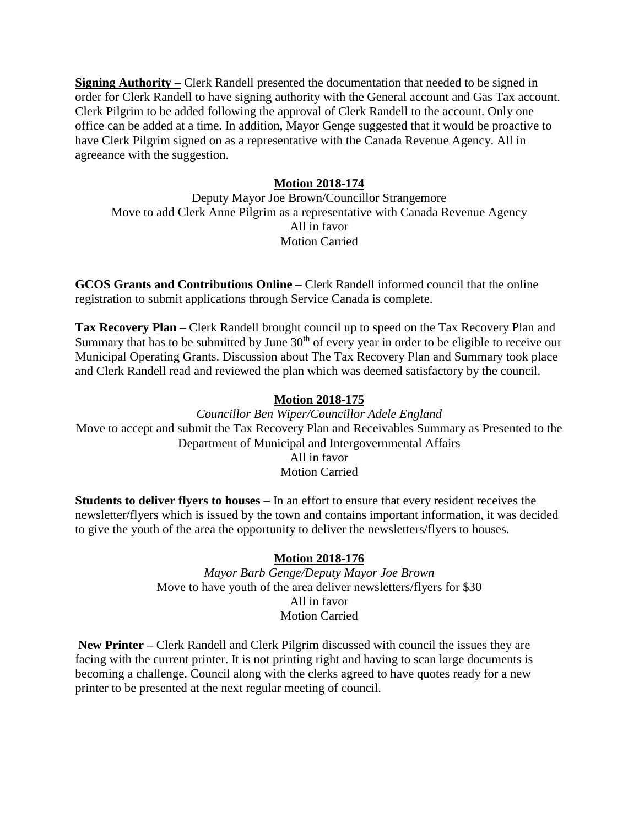**Signing Authority –** Clerk Randell presented the documentation that needed to be signed in order for Clerk Randell to have signing authority with the General account and Gas Tax account. Clerk Pilgrim to be added following the approval of Clerk Randell to the account. Only one office can be added at a time. In addition, Mayor Genge suggested that it would be proactive to have Clerk Pilgrim signed on as a representative with the Canada Revenue Agency. All in agreeance with the suggestion.

## **Motion 2018-174**

Deputy Mayor Joe Brown/Councillor Strangemore Move to add Clerk Anne Pilgrim as a representative with Canada Revenue Agency All in favor Motion Carried

**GCOS Grants and Contributions Online –** Clerk Randell informed council that the online registration to submit applications through Service Canada is complete.

**Tax Recovery Plan –** Clerk Randell brought council up to speed on the Tax Recovery Plan and Summary that has to be submitted by June 30<sup>th</sup> of every year in order to be eligible to receive our Municipal Operating Grants. Discussion about The Tax Recovery Plan and Summary took place and Clerk Randell read and reviewed the plan which was deemed satisfactory by the council.

### **Motion 2018-175**

*Councillor Ben Wiper/Councillor Adele England* Move to accept and submit the Tax Recovery Plan and Receivables Summary as Presented to the Department of Municipal and Intergovernmental Affairs All in favor Motion Carried

**Students to deliver flyers to houses –** In an effort to ensure that every resident receives the newsletter/flyers which is issued by the town and contains important information, it was decided to give the youth of the area the opportunity to deliver the newsletters/flyers to houses.

## **Motion 2018-176**

*Mayor Barb Genge/Deputy Mayor Joe Brown* Move to have youth of the area deliver newsletters/flyers for \$30 All in favor Motion Carried

**New Printer –** Clerk Randell and Clerk Pilgrim discussed with council the issues they are facing with the current printer. It is not printing right and having to scan large documents is becoming a challenge. Council along with the clerks agreed to have quotes ready for a new printer to be presented at the next regular meeting of council.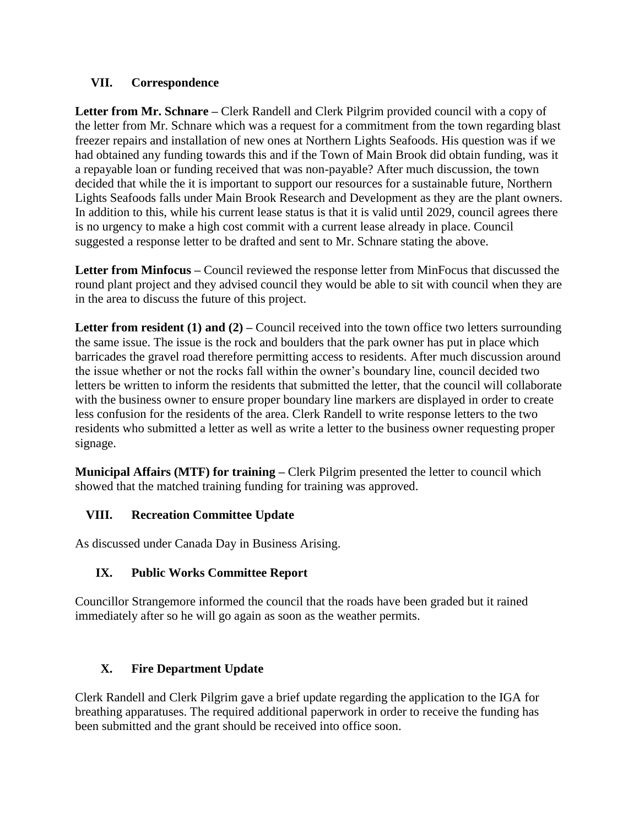## **VII. Correspondence**

**Letter from Mr. Schnare –** Clerk Randell and Clerk Pilgrim provided council with a copy of the letter from Mr. Schnare which was a request for a commitment from the town regarding blast freezer repairs and installation of new ones at Northern Lights Seafoods. His question was if we had obtained any funding towards this and if the Town of Main Brook did obtain funding, was it a repayable loan or funding received that was non-payable? After much discussion, the town decided that while the it is important to support our resources for a sustainable future, Northern Lights Seafoods falls under Main Brook Research and Development as they are the plant owners. In addition to this, while his current lease status is that it is valid until 2029, council agrees there is no urgency to make a high cost commit with a current lease already in place. Council suggested a response letter to be drafted and sent to Mr. Schnare stating the above.

**Letter from Minfocus –** Council reviewed the response letter from MinFocus that discussed the round plant project and they advised council they would be able to sit with council when they are in the area to discuss the future of this project.

**Letter from resident (1) and (2) – Council received into the town office two letters surrounding** the same issue. The issue is the rock and boulders that the park owner has put in place which barricades the gravel road therefore permitting access to residents. After much discussion around the issue whether or not the rocks fall within the owner's boundary line, council decided two letters be written to inform the residents that submitted the letter, that the council will collaborate with the business owner to ensure proper boundary line markers are displayed in order to create less confusion for the residents of the area. Clerk Randell to write response letters to the two residents who submitted a letter as well as write a letter to the business owner requesting proper signage.

**Municipal Affairs (MTF) for training –** Clerk Pilgrim presented the letter to council which showed that the matched training funding for training was approved.

# **VIII. Recreation Committee Update**

As discussed under Canada Day in Business Arising.

# **IX. Public Works Committee Report**

Councillor Strangemore informed the council that the roads have been graded but it rained immediately after so he will go again as soon as the weather permits.

# **X. Fire Department Update**

Clerk Randell and Clerk Pilgrim gave a brief update regarding the application to the IGA for breathing apparatuses. The required additional paperwork in order to receive the funding has been submitted and the grant should be received into office soon.